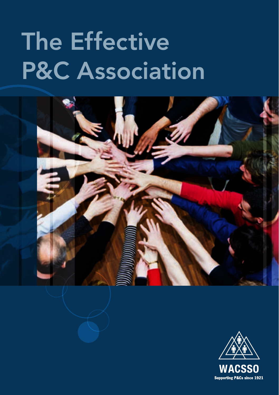# The Effective P&C Association



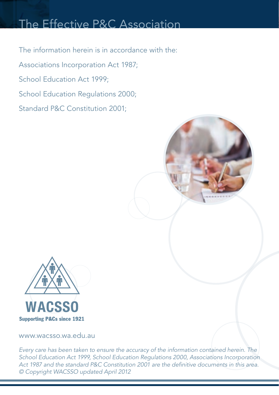# The Effective P&C Association

The information herein is in accordance with the: Associations Incorporation Act 1987; School Education Act 1999; School Education Regulations 2000; Standard P&C Constitution 2001;



www.wacsso.wa.edu.au

*Every care has been taken to ensure the accuracy of the information contained herein. The School Education Act 1999, School Education Regulations 2000, Associations Incorporation Act 1987 and the standard P&C Constitution 2001 are the definitive documents in this area. © Copyright WACSSO updated April 2012*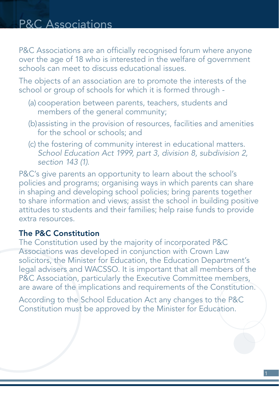P&C Associations are an officially recognised forum where anyone over the age of 18 who is interested in the welfare of government schools can meet to discuss educational issues.

The objects of an association are to promote the interests of the school or group of schools for which it is formed through -

- (a) cooperation between parents, teachers, students and members of the general community;
- (b)assisting in the provision of resources, facilities and amenities for the school or schools; and
- (c) the fostering of community interest in educational matters. *School Education Act 1999, part 3, division 8, subdivision 2, section 143 (1).*

P&C's give parents an opportunity to learn about the school's policies and programs; organising ways in which parents can share in shaping and developing school policies; bring parents together to share information and views; assist the school in building positive attitudes to students and their families; help raise funds to provide extra resources.

#### The P&C Constitution

The Constitution used by the majority of incorporated P&C Associations was developed in conjunction with Crown Law solicitors, the Minister for Education, the Education Department's legal advisers and WACSSO. It is important that all members of the P&C Association, particularly the Executive Committee members, are aware of the implications and requirements of the Constitution.

According to the School Education Act any changes to the P&C Constitution must be approved by the Minister for Education.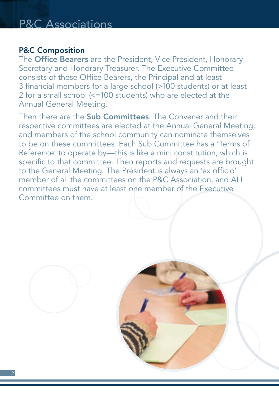#### P&C Composition

The **Office Bearers** are the President, Vice President, Honorary Secretary and Honorary Treasurer. The Executive Committee consists of these Office Bearers, the Principal and at least 3 financial members for a large school (>100 students) or at least 2 for a small school (<=100 students) who are elected at the Annual General Meeting.

Then there are the **Sub Committees**. The Convener and their respective committees are elected at the Annual General Meeting, and members of the school community can nominate themselves to be on these committees. Each Sub Committee has a 'Terms of Reference' to operate by—this is like a mini constitution, which is specific to that committee. Then reports and requests are brought to the General Meeting. The President is always an 'ex officio' member of all the committees on the P&C Association, and ALL committees must have at least one member of the Executive Committee on them.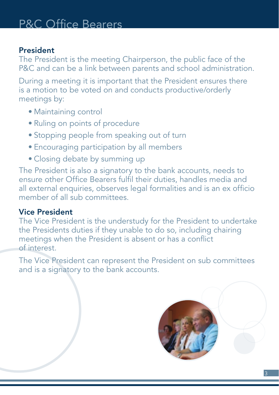#### President

The President is the meeting Chairperson, the public face of the P&C and can be a link between parents and school administration.

During a meeting it is important that the President ensures there is a motion to be voted on and conducts productive/orderly meetings by:

- • Maintaining control
- Ruling on points of procedure
- Stopping people from speaking out of turn
- Encouraging participation by all members
- Closing debate by summing up

The President is also a signatory to the bank accounts, needs to ensure other Office Bearers fulfil their duties, handles media and all external enquiries, observes legal formalities and is an ex officio member of all sub committees

### Vice President

The Vice President is the understudy for the President to undertake the Presidents duties if they unable to do so, including chairing meetings when the President is absent or has a conflict of interest.

The Vice President can represent the President on sub committees and is a signatory to the bank accounts.

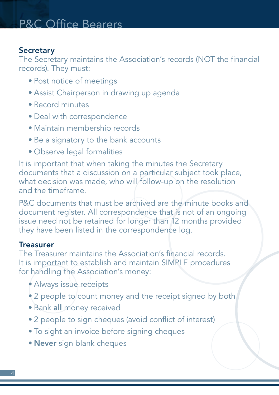#### **Secretary**

The Secretary maintains the Association's records (NOT the financial records). They must:

- Post notice of meetings
- Assist Chairperson in drawing up agenda
- • Record minutes
- Deal with correspondence
- • Maintain membership records
- Be a signatory to the bank accounts
- Observe legal formalities

It is important that when taking the minutes the Secretary documents that a discussion on a particular subject took place, what decision was made, who will follow-up on the resolution and the timeframe.

P&C documents that must be archived are the minute books and document register. All correspondence that is not of an ongoing issue need not be retained for longer than 12 months provided they have been listed in the correspondence log.

#### **Treasurer**

The Treasurer maintains the Association's financial records. It is important to establish and maintain SIMPLE procedures for handling the Association's money:

- Always issue receipts
- 2 people to count money and the receipt signed by both
- Bank all money received
- 2 people to sign cheques (avoid conflict of interest)
- • To sight an invoice before signing cheques
- Never sign blank cheques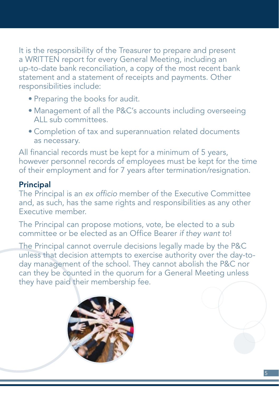It is the responsibility of the Treasurer to prepare and present a WRITTEN report for every General Meeting, including an up-to-date bank reconciliation, a copy of the most recent bank statement and a statement of receipts and payments. Other responsibilities include:

- Preparing the books for audit.
- Management of all the P&C's accounts including overseeing ALL sub committees.
- Completion of tax and superannuation related documents as necessary.

All financial records must be kept for a minimum of 5 years, however personnel records of employees must be kept for the time of their employment and for 7 years after termination/resignation.

## Principal

The Principal is an *ex officio* member of the Executive Committee and, as such, has the same rights and responsibilities as any other Executive member.

The Principal can propose motions, vote, be elected to a sub committee or be elected as an Office Bearer *if they want to*!

The Principal cannot overrule decisions legally made by the P&C unless that decision attempts to exercise authority over the day-today management of the school. They cannot abolish the P&C nor can they be counted in the quorum for a General Meeting unless they have paid their membership fee.

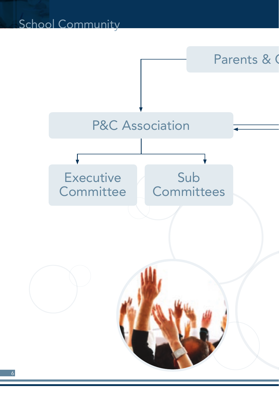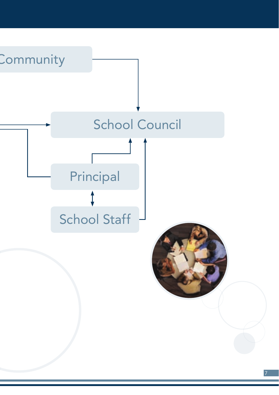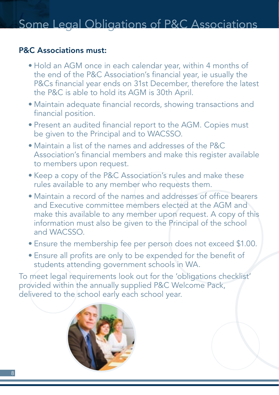### P&C Associations must:

- Hold an AGM once in each calendar year, within 4 months of the end of the P&C Association's financial year, ie usually the P&Cs financial year ends on 31st December, therefore the latest the P&C is able to hold its AGM is 30th April.
- Maintain adequate financial records, showing transactions and financial position.
- Present an audited financial report to the AGM. Copies must be given to the Principal and to WACSSO.
- Maintain a list of the names and addresses of the P&C Association's financial members and make this register available to members upon request.
- Keep a copy of the P&C Association's rules and make these rules available to any member who requests them.
- • Maintain a record of the names and addresses of office bearers and Executive committee members elected at the AGM and make this available to any member upon request. A copy of this information must also be given to the Principal of the school and WACSSO.
- Ensure the membership fee per person does not exceed \$1.00.
- Ensure all profits are only to be expended for the benefit of students attending government schools in WA.

To meet legal requirements look out for the 'obligations checklist' provided within the annually supplied P&C Welcome Pack, delivered to the school early each school year.

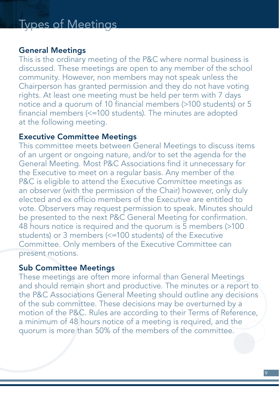#### General Meetings

This is the ordinary meeting of the P&C where normal business is discussed. These meetings are open to any member of the school community. However, non members may not speak unless the Chairperson has granted permission and they do not have voting rights. At least one meeting must be held per term with 7 days notice and a quorum of 10 financial members (>100 students) or 5 financial members (<=100 students). The minutes are adopted at the following meeting.

#### Executive Committee Meetings

This committee meets between General Meetings to discuss items of an urgent or ongoing nature, and/or to set the agenda for the General Meeting. Most P&C Associations find it unnecessary for the Executive to meet on a regular basis. Any member of the P&C is eligible to attend the Executive Committee meetings as an observer (with the permission of the Chair) however, only duly elected and ex officio members of the Executive are entitled to vote. Observers may request permission to speak. Minutes should be presented to the next P&C General Meeting for confirmation. 48 hours notice is required and the quorum is 5 members (>100 students) or 3 members (<=100 students) of the Executive Committee. Only members of the Executive Committee can present motions.

#### Sub Committee Meetings

These meetings are often more informal than General Meetings and should remain short and productive. The minutes or a report to the P&C Associations General Meeting should outline any decisions of the sub committee. These decisions may be overturned by a motion of the P&C. Rules are according to their Terms of Reference, a minimum of 48 hours notice of a meeting is required, and the quorum is more than 50% of the members of the committee.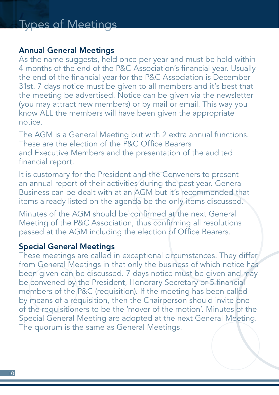#### Annual General Meetings

As the name suggests, held once per year and must be held within 4 months of the end of the P&C Association's financial year. Usually the end of the financial year for the P&C Association is December 31st. 7 days notice must be given to all members and it's best that the meeting be advertised. Notice can be given via the newsletter (you may attract new members) or by mail or email. This way you know ALL the members will have been given the appropriate notice.

The AGM is a General Meeting but with 2 extra annual functions. These are the election of the P&C Office Bearers and Executive Members and the presentation of the audited financial report.

It is customary for the President and the Conveners to present an annual report of their activities during the past year. General Business can be dealt with at an AGM but it's recommended that items already listed on the agenda be the only items discussed.

Minutes of the AGM should be confirmed at the next General Meeting of the P&C Association, thus confirming all resolutions passed at the AGM including the election of Office Bearers.

### Special General Meetings

These meetings are called in exceptional circumstances. They differ from General Meetings in that only the business of which notice has been given can be discussed. 7 days notice must be given and may be convened by the President, Honorary Secretary or 5 financial members of the P&C (requisition). If the meeting has been called by means of a requisition, then the Chairperson should invite one of the requisitioners to be the 'mover of the motion'. Minutes of the Special General Meeting are adopted at the next General Meeting. The quorum is the same as General Meetings.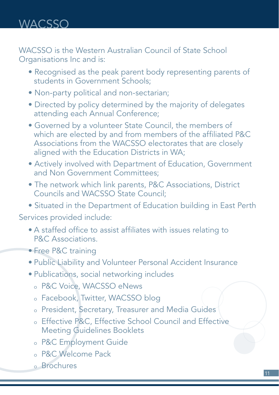WACSSO is the Western Australian Council of State School Organisations Inc and is:

- Recognised as the peak parent body representing parents of students in Government Schools;
- Non-party political and non-sectarian;
- Directed by policy determined by the majority of delegates attending each Annual Conference;
- Governed by a volunteer State Council, the members of which are elected by and from members of the affiliated P&C Associations from the WACSSO electorates that are closely aligned with the Education Districts in WA;
- Actively involved with Department of Education, Government and Non Government Committees;
- The network which link parents, P&C Associations, District Councils and WACSSO State Council;
- Situated in the Department of Education building in East Perth

Services provided include:

- A staffed office to assist affiliates with issues relating to P&C Associations.
- Free P&C training
- Public Liability and Volunteer Personal Accident Insurance
- • Publications, social networking includes
	- <sup>o</sup> P&C Voice, WACSSO eNews
	- <sup>o</sup> Facebook, Twitter, WACSSO blog
	- <sup>o</sup> President, Secretary, Treasurer and Media Guides
	- <sup>o</sup> Effective P&C, Effective School Council and Effective Meeting Guidelines Booklets
	- <sup>o</sup> P&C Employment Guide
	- <sup>o</sup> P&C Welcome Pack
	- <sup>o</sup> Brochures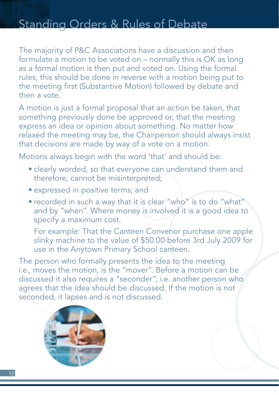# Standing Orders & Rules of Debate

The majority of P&C Associations have a discussion and then formulate a motion to be voted on – normally this is OK as long as a formal motion is then put and voted on. Using the formal rules, this should be done in reverse with a motion being put to the meeting first (Substantive Motion) followed by debate and then a vote.

A motion is just a formal proposal that an action be taken, that something previously done be approved or, that the meeting express an idea or opinion about something. No matter how relaxed the meeting may be, the Chairperson should always insist that decisions are made by way of a vote on a motion.

Motions always begin with the word 'that' and should be:

- clearly worded, so that everyone can understand them and therefore, cannot be misinterpreted;
- expressed in positive terms; and
- recorded in such a way that it is clear "who" is to do "what" and by "when". Where money is involved it is a good idea to specify a maximum cost.

 For example: That the Canteen Convenor purchase one apple slinky machine to the value of \$50.00 before 3rd July 2009 for use in the Anytown Primary School canteen.

The person who formally presents the idea to the meeting i.e., moves the motion, is the "mover". Before a motion can be discussed it also requires a "seconder", i.e. another person who agrees that the idea should be discussed. If the motion is not seconded, it lapses and is not discussed.

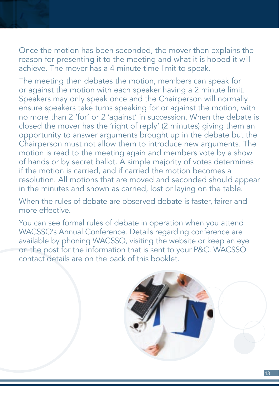Once the motion has been seconded, the mover then explains the reason for presenting it to the meeting and what it is hoped it will achieve. The mover has a 4 minute time limit to speak.

The meeting then debates the motion, members can speak for or against the motion with each speaker having a 2 minute limit. Speakers may only speak once and the Chairperson will normally ensure speakers take turns speaking for or against the motion, with no more than 2 'for' or 2 'against' in succession, When the debate is closed the mover has the 'right of reply' (2 minutes) giving them an opportunity to answer arguments brought up in the debate but the Chairperson must not allow them to introduce new arguments. The motion is read to the meeting again and members vote by a show of hands or by secret ballot. A simple majority of votes determines if the motion is carried, and if carried the motion becomes a resolution. All motions that are moved and seconded should appear in the minutes and shown as carried, lost or laying on the table.

When the rules of debate are observed debate is faster, fairer and more effective.

You can see formal rules of debate in operation when you attend WACSSO's Annual Conference. Details regarding conference are available by phoning WACSSO, visiting the website or keep an eye on the post for the information that is sent to your P&C. WACSSO contact details are on the back of this booklet.